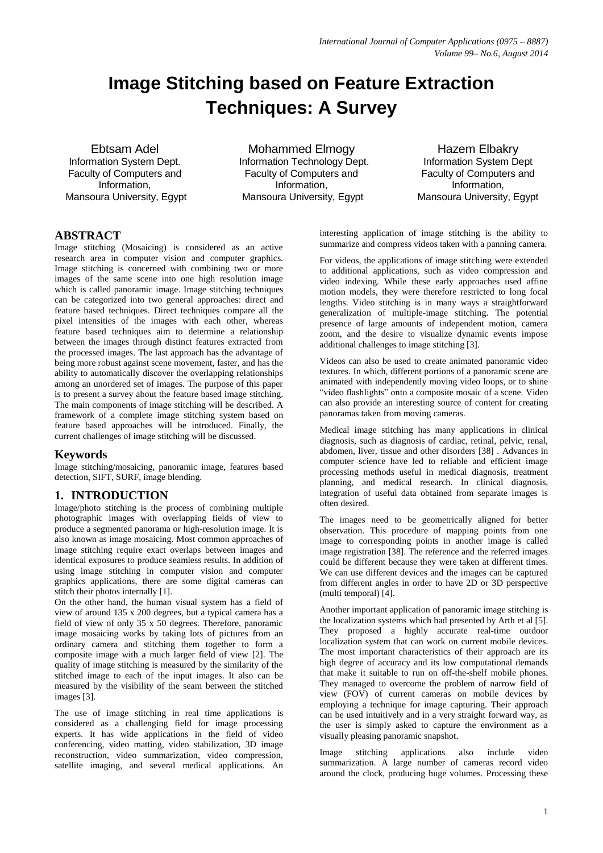# **Image Stitching based on Feature Extraction Techniques: A Survey**

Ebtsam Adel Information System Dept. Faculty of Computers and Information, Mansoura University, Egypt

Mohammed Elmogy Information Technology Dept. Faculty of Computers and Information, Mansoura University, Egypt

Hazem Elbakry Information System Dept Faculty of Computers and Information, Mansoura University, Egypt

#### **ABSTRACT**

Image stitching (Mosaicing) is considered as an active research area in computer vision and computer graphics. Image stitching is concerned with combining two or more images of the same scene into one high resolution image which is called panoramic image. Image stitching techniques can be categorized into two general approaches: direct and feature based techniques. Direct techniques compare all the pixel intensities of the images with each other, whereas feature based techniques aim to determine a relationship between the images through distinct features extracted from the processed images. The last approach has the advantage of being more robust against scene movement, faster, and has the ability to automatically discover the overlapping relationships among an unordered set of images. The purpose of this paper is to present a survey about the feature based image stitching. The main components of image stitching will be described. A framework of a complete image stitching system based on feature based approaches will be introduced. Finally, the current challenges of image stitching will be discussed.

## **Keywords**

Image stitching/mosaicing, panoramic image, features based detection, SIFT, SURF, image blending.

## **1. INTRODUCTION**

Image/photo stitching is the process of combining multiple photographic images with overlapping fields of view to produce a segmented panorama or high-resolution image. It is also known as image mosaicing. Most common approaches of image stitching require exact overlaps between images and identical exposures to produce seamless results. In addition of using image stitching in computer vision and computer graphics applications, there are some digital cameras can stitch their photos internally [1].

On the other hand, the human visual system has a field of view of around 135 x 200 degrees, but a typical camera has a field of view of only 35 x 50 degrees. Therefore, panoramic image mosaicing works by taking lots of pictures from an ordinary camera and stitching them together to form a composite image with a much larger field of view [2]. The quality of image stitching is measured by the similarity of the stitched image to each of the input images. It also can be measured by the visibility of the seam between the stitched images [3].

The use of image stitching in real time applications is considered as a challenging field for image processing experts. It has wide applications in the field of video conferencing, video matting, video stabilization, 3D image reconstruction, video summarization, video compression, satellite imaging, and several medical applications. An interesting application of image stitching is the ability to summarize and compress videos taken with a panning camera.

For videos, the applications of image stitching were extended to additional applications, such as video compression and video indexing. While these early approaches used affine motion models, they were therefore restricted to long focal lengths. Video stitching is in many ways a straightforward generalization of multiple-image stitching. The potential presence of large amounts of independent motion, camera zoom, and the desire to visualize dynamic events impose additional challenges to image stitching [3].

Videos can also be used to create animated panoramic video textures. In which, different portions of a panoramic scene are animated with independently moving video loops, or to shine "video flashlights" onto a composite mosaic of a scene. Video can also provide an interesting source of content for creating panoramas taken from moving cameras.

Medical image stitching has many applications in clinical diagnosis, such as diagnosis of cardiac, retinal, pelvic, renal, abdomen, liver, tissue and other disorders [38] . Advances in computer science have led to reliable and efficient image processing methods useful in medical diagnosis, treatment planning, and medical research. In clinical diagnosis, integration of useful data obtained from separate images is often desired.

The images need to be geometrically aligned for better observation. This procedure of mapping points from one image to corresponding points in another image is called image registration [38]. The reference and the referred images could be different because they were taken at different times. We can use different devices and the images can be captured from different angles in order to have 2D or 3D perspective (multi temporal) [4].

Another important application of panoramic image stitching is the localization systems which had presented by Arth et al [5]. They proposed a highly accurate real-time outdoor localization system that can work on current mobile devices. The most important characteristics of their approach are its high degree of accuracy and its low computational demands that make it suitable to run on off-the-shelf mobile phones. They managed to overcome the problem of narrow field of view (FOV) of current cameras on mobile devices by employing a technique for image capturing. Their approach can be used intuitively and in a very straight forward way, as the user is simply asked to capture the environment as a visually pleasing panoramic snapshot.

Image stitching applications also include video summarization. A large number of cameras record video around the clock, producing huge volumes. Processing these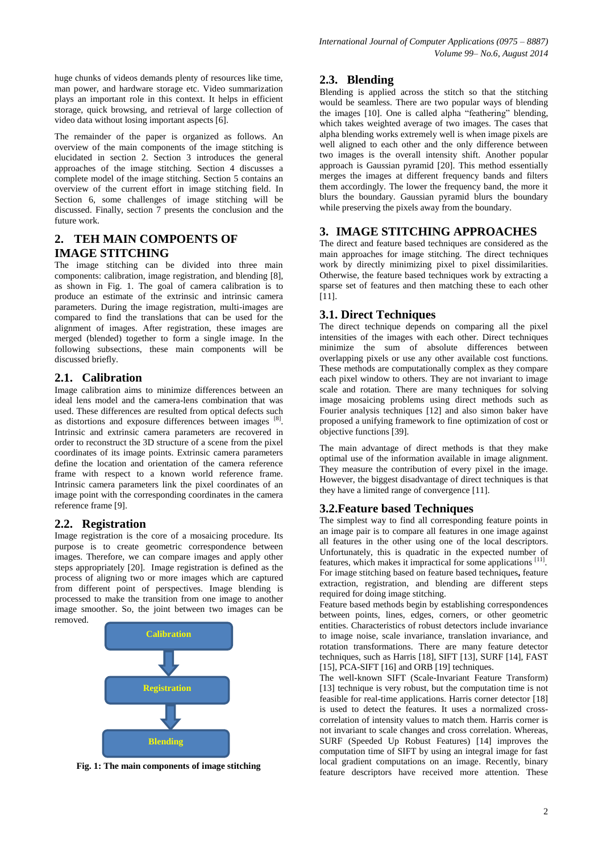huge chunks of videos demands plenty of resources like time, man power, and hardware storage etc. Video summarization plays an important role in this context. It helps in efficient storage, quick browsing, and retrieval of large collection of video data without losing important aspects [6].

The remainder of the paper is organized as follows. An overview of the main components of the image stitching is elucidated in section 2. Section 3 introduces the general approaches of the image stitching. Section 4 discusses a complete model of the image stitching. Section 5 contains an overview of the current effort in image stitching field. In Section 6, some challenges of image stitching will be discussed. Finally, section 7 presents the conclusion and the future work.

# **2. TEH MAIN COMPOENTS OF IMAGE STITCHING**

The image stitching can be divided into three main components: calibration, image registration, and blending [8], as shown in Fig. 1. The goal of camera calibration is to produce an estimate of the extrinsic and intrinsic camera parameters. During the image registration, multi-images are compared to find the translations that can be used for the alignment of images. After registration, these images are merged (blended) together to form a single image. In the following subsections, these main components will be discussed briefly.

## **2.1. Calibration**

Image calibration aims to minimize differences between an ideal lens model and the camera-lens combination that was used. These differences are resulted from optical defects such as distortions and exposure differences between images [8]. Intrinsic and extrinsic camera parameters are recovered in order to reconstruct the 3D structure of a scene from the pixel coordinates of its image points. Extrinsic camera parameters define the location and orientation of the camera reference frame with respect to a known world reference frame. Intrinsic camera parameters link the pixel coordinates of an image point with the corresponding coordinates in the camera reference frame [9].

## **2.2. Registration**

Image registration is the core of a mosaicing procedure. Its purpose is to create geometric correspondence between images. Therefore, we can compare images and apply other steps appropriately [20]. Image registration is defined as the process of aligning two or more images which are captured from different point of perspectives. Image blending is processed to make the transition from one image to another image smoother. So, the joint between two images can be removed.



**Fig. 1: The main components of image stitching**

#### **2.3. Blending**

Blending is applied across the stitch so that the stitching would be seamless. There are two popular ways of blending the images [10]. One is called alpha "feathering" blending, which takes weighted average of two images. The cases that alpha blending works extremely well is when image pixels are well aligned to each other and the only difference between two images is the overall intensity shift. Another popular approach is Gaussian pyramid [20]. This method essentially merges the images at different frequency bands and filters them accordingly. The lower the frequency band, the more it blurs the boundary. Gaussian pyramid blurs the boundary while preserving the pixels away from the boundary.

## **3. IMAGE STITCHING APPROACHES**

The direct and feature based techniques are considered as the main approaches for image stitching. The direct techniques work by directly minimizing pixel to pixel dissimilarities. Otherwise, the feature based techniques work by extracting a sparse set of features and then matching these to each other [11].

## **3.1. Direct Techniques**

The direct technique depends on comparing all the pixel intensities of the images with each other. Direct techniques minimize the sum of absolute differences between overlapping pixels or use any other available cost functions. These methods are computationally complex as they compare each pixel window to others. They are not invariant to image scale and rotation. There are many techniques for solving image mosaicing problems using direct methods such as Fourier analysis techniques [12] and also simon baker have proposed a unifying framework to fine optimization of cost or objective functions [39].

The main advantage of direct methods is that they make optimal use of the information available in image alignment. They measure the contribution of every pixel in the image. However, the biggest disadvantage of direct techniques is that they have a limited range of convergence [11].

## **3.2.Feature based Techniques**

The simplest way to find all corresponding feature points in an image pair is to compare all features in one image against all features in the other using one of the local descriptors. Unfortunately, this is quadratic in the expected number of features, which makes it impractical for some applications [11]. For image stitching based on feature based techniques**,** feature extraction, registration, and blending are different steps required for doing image stitching.

Feature based methods begin by establishing correspondences between points, lines, edges, corners, or other geometric entities. Characteristics of robust detectors include invariance to image noise, scale invariance, translation invariance, and rotation transformations. There are many feature detector techniques, such as Harris [18], SIFT [13], SURF [14], FAST [15], PCA-SIFT [16] and ORB [19] techniques.

The well-known SIFT (Scale-Invariant Feature Transform) [13] technique is very robust, but the computation time is not feasible for real-time applications. Harris corner detector [18] is used to detect the features. It uses a normalized crosscorrelation of intensity values to match them. Harris corner is not invariant to scale changes and cross correlation. Whereas, SURF (Speeded Up Robust Features) [14] improves the computation time of SIFT by using an integral image for fast local gradient computations on an image. Recently, binary feature descriptors have received more attention. These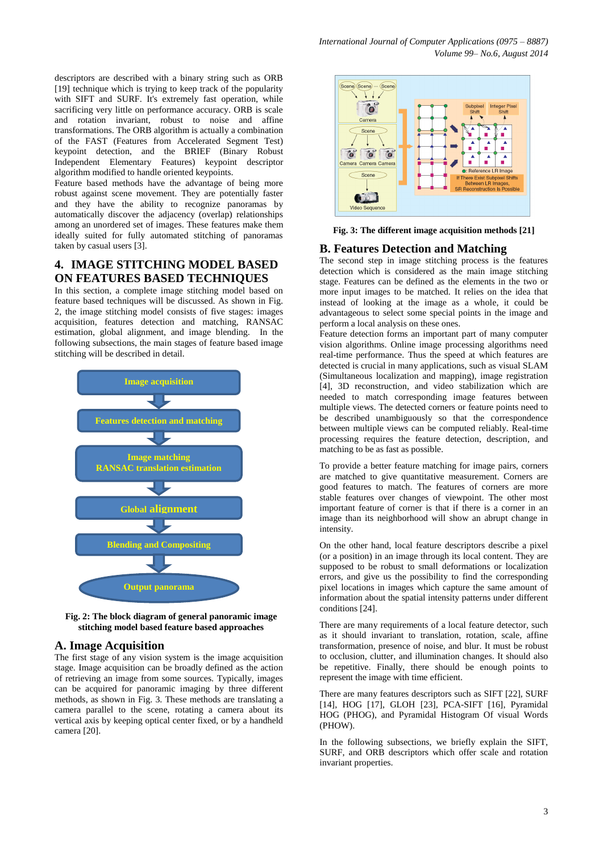descriptors are described with a binary string such as ORB [19] technique which is trying to keep track of the popularity with SIFT and SURF. It's extremely fast operation, while sacrificing very little on performance accuracy. ORB is scale and rotation invariant, robust to noise and affine transformations. The ORB algorithm is actually a combination of the FAST (Features from Accelerated Segment Test) keypoint detection, and the BRIEF (Binary Robust Independent Elementary Features) keypoint descriptor algorithm modified to handle oriented keypoints.

Feature based methods have the advantage of being more robust against scene movement. They are potentially faster and they have the ability to recognize panoramas by automatically discover the adjacency (overlap) relationships among an unordered set of images. These features make them ideally suited for fully automated stitching of panoramas taken by casual users [3].

## **4. IMAGE STITCHING MODEL BASED ON FEATURES BASED TECHNIQUES**

In this section, a complete image stitching model based on feature based techniques will be discussed. As shown in Fig. 2, the image stitching model consists of five stages: images acquisition, features detection and matching, RANSAC estimation, global alignment, and image blending. In the following subsections, the main stages of feature based image stitching will be described in detail.



**Fig. 2: The block diagram of general panoramic image stitching model based feature based approaches**

## **A. Image Acquisition**

The first stage of any vision system is the image acquisition stage. Image acquisition can be broadly defined as the action of retrieving an image from some sources. Typically, images can be acquired for panoramic imaging by three different methods, as shown in Fig. 3. These methods are translating a camera parallel to the scene, rotating a camera about its vertical axis by keeping optical center fixed, or by a handheld camera [20].



**Fig. 3: The different image acquisition methods [21]**

#### **B. Features Detection and Matching**

The second step in image stitching process is the features detection which is considered as the main image stitching stage. Features can be defined as the elements in the two or more input images to be matched. It relies on the idea that instead of looking at the image as a whole, it could be advantageous to select some special points in the image and perform a local analysis on these ones.

Feature detection forms an important part of many computer vision algorithms. Online image processing algorithms need real-time performance. Thus the speed at which features are detected is crucial in many applications, such as visual SLAM (Simultaneous localization and mapping), image registration [4], 3D reconstruction, and video stabilization which are needed to match corresponding image features between multiple views. The detected corners or feature points need to be described unambiguously so that the correspondence between multiple views can be computed reliably. Real-time processing requires the feature detection, description, and matching to be as fast as possible.

To provide a better feature matching for image pairs, corners are matched to give quantitative measurement. Corners are good features to match. The features of corners are more stable features over changes of viewpoint. The other most important feature of corner is that if there is a corner in an image than its neighborhood will show an abrupt change in intensity.

On the other hand, local feature descriptors describe a pixel (or a position) in an image through its local content. They are supposed to be robust to small deformations or localization errors, and give us the possibility to find the corresponding pixel locations in images which capture the same amount of information about the spatial intensity patterns under different conditions [24].

There are many requirements of a local feature detector, such as it should invariant to translation, rotation, scale, affine transformation, presence of noise, and blur. It must be robust to occlusion, clutter, and illumination changes. It should also be repetitive. Finally, there should be enough points to represent the image with time efficient.

There are many features descriptors such as SIFT [22], SURF [14], HOG [17], GLOH [23], PCA-SIFT [16], Pyramidal HOG (PHOG), and Pyramidal Histogram Of visual Words (PHOW).

In the following subsections, we briefly explain the SIFT, SURF, and ORB descriptors which offer scale and rotation invariant properties.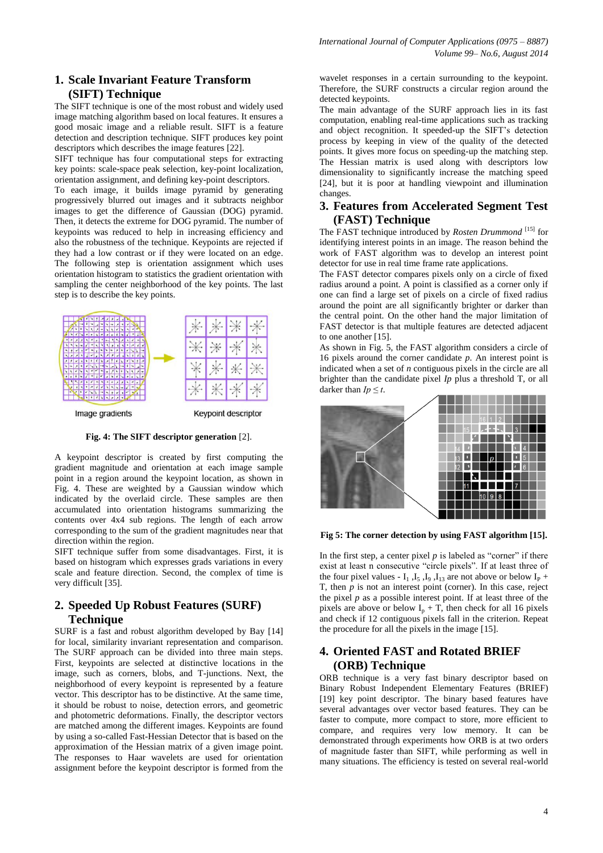# **1. Scale Invariant Feature Transform (SIFT) Technique**

The SIFT technique is one of the most robust and widely used image matching algorithm based on local features. It ensures a good mosaic image and a reliable result. SIFT is a feature detection and description technique. SIFT produces key point descriptors which describes the image features [22].

SIFT technique has four computational steps for extracting key points: scale-space peak selection, key-point localization, orientation assignment, and defining key-point descriptors.

To each image, it builds image pyramid by generating progressively blurred out images and it subtracts neighbor images to get the difference of Gaussian (DOG) pyramid. Then, it detects the extreme for DOG pyramid. The number of keypoints was reduced to help in increasing efficiency and also the robustness of the technique. Keypoints are rejected if they had a low contrast or if they were located on an edge. The following step is orientation assignment which uses orientation histogram to statistics the gradient orientation with sampling the center neighborhood of the key points. The last step is to describe the key points.



**Fig. 4: The SIFT descriptor generation** [2].

A keypoint descriptor is created by first computing the gradient magnitude and orientation at each image sample point in a region around the keypoint location, as shown in Fig. 4. These are weighted by a Gaussian window which indicated by the overlaid circle. These samples are then accumulated into orientation histograms summarizing the contents over 4x4 sub regions. The length of each arrow corresponding to the sum of the gradient magnitudes near that direction within the region.

SIFT technique suffer from some disadvantages. First, it is based on histogram which expresses grads variations in every scale and feature direction. Second, the complex of time is very difficult [35].

# **2. Speeded Up Robust Features (SURF) Technique**

SURF is a fast and robust algorithm developed by Bay [14] for local, similarity invariant representation and comparison. The SURF approach can be divided into three main steps. First, keypoints are selected at distinctive locations in the image, such as corners, blobs, and T-junctions. Next, the neighborhood of every keypoint is represented by a feature vector. This descriptor has to be distinctive. At the same time, it should be robust to noise, detection errors, and geometric and photometric deformations. Finally, the descriptor vectors are matched among the different images. Keypoints are found by using a so-called Fast-Hessian Detector that is based on the approximation of the Hessian matrix of a given image point. The responses to Haar wavelets are used for orientation assignment before the keypoint descriptor is formed from the

wavelet responses in a certain surrounding to the keypoint. Therefore, the SURF constructs a circular region around the detected keypoints.

The main advantage of the SURF approach lies in its fast computation, enabling real-time applications such as tracking and object recognition. It speeded-up the SIFT's detection process by keeping in view of the quality of the detected points. It gives more focus on speeding-up the matching step. The Hessian matrix is used along with descriptors low dimensionality to significantly increase the matching speed [24], but it is poor at handling viewpoint and illumination changes.

#### **3. Features from Accelerated Segment Test (FAST) Technique**

The FAST technique introduced by *Rosten Drummond* [15] for identifying interest points in an image. The reason behind the work of FAST algorithm was to develop an interest point detector for use in real time frame rate applications.

The FAST detector compares pixels only on a circle of fixed radius around a point. A point is classified as a corner only if one can find a large set of pixels on a circle of fixed radius around the point are all significantly brighter or darker than the central point. On the other hand the major limitation of FAST detector is that multiple features are detected adjacent to one another [15].

As shown in Fig. 5, the FAST algorithm considers a circle of 16 pixels around the corner candidate *p*. An interest point is indicated when a set of *n* contiguous pixels in the circle are all brighter than the candidate pixel *Ip* plus a threshold T, or all darker than  $Ip \leq t$ .



**Fig 5: The corner detection by using FAST algorithm [15].**

In the first step, a center pixel  $p$  is labeled as "corner" if there exist at least n consecutive "circle pixels". If at least three of the four pixel values -  $I_1$ ,  $I_5$ ,  $I_9$ ,  $I_{13}$  are not above or below  $I_P$  + T, then  $p$  is not an interest point (corner). In this case, reject the pixel  $p$  as a possible interest point. If at least three of the pixels are above or below  $I_p + T$ , then check for all 16 pixels and check if 12 contiguous pixels fall in the criterion. Repeat the procedure for all the pixels in the image [15].

# **4. Oriented FAST and Rotated BRIEF (ORB) Technique**

ORB technique is a very fast binary descriptor based on Binary Robust Independent Elementary Features (BRIEF) [19] key point descriptor. The binary based features have several advantages over vector based features. They can be faster to compute, more compact to store, more efficient to compare, and requires very low memory. It can be demonstrated through experiments how ORB is at two orders of magnitude faster than SIFT, while performing as well in many situations. The efficiency is tested on several real-world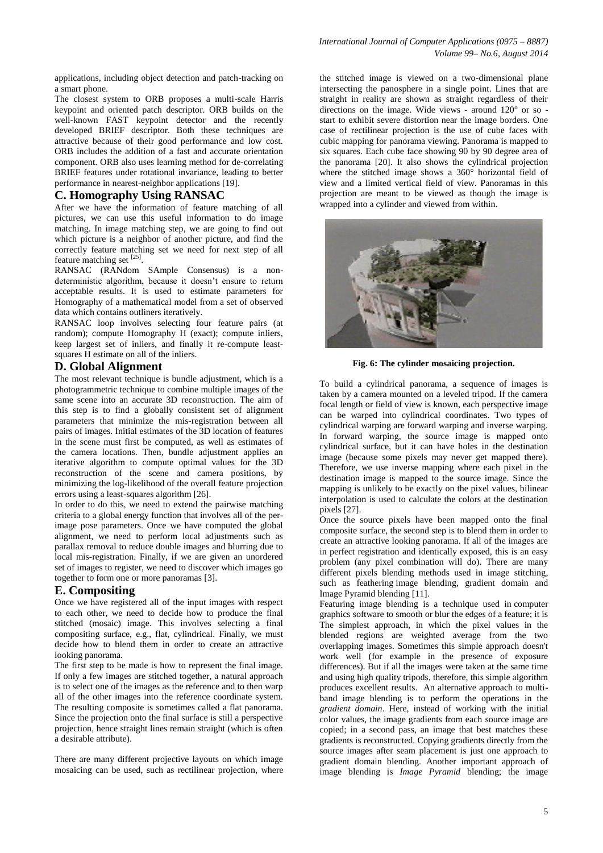applications, including object detection and patch-tracking on a smart phone.

The closest system to ORB proposes a multi-scale Harris keypoint and oriented patch descriptor. ORB builds on the well-known FAST keypoint detector and the recently developed BRIEF descriptor. Both these techniques are attractive because of their good performance and low cost. ORB includes the addition of a fast and accurate orientation component. ORB also uses learning method for de-correlating BRIEF features under rotational invariance, leading to better performance in nearest-neighbor applications [19].

## **C. Homography Using RANSAC**

After we have the information of feature matching of all pictures, we can use this useful information to do image matching. In image matching step, we are going to find out which picture is a neighbor of another picture, and find the correctly feature matching set we need for next step of all feature matching set [25].

RANSAC (RANdom SAmple Consensus) is a nondeterministic algorithm, because it doesn't ensure to return acceptable results. It is used to estimate parameters for Homography of a mathematical model from a set of observed data which contains outliners iteratively.

RANSAC loop involves selecting four feature pairs (at random); compute Homography H (exact); compute inliers, keep largest set of inliers, and finally it re-compute leastsquares H estimate on all of the inliers.

#### **D. Global Alignment**

The most relevant technique is bundle adjustment, which is a photogrammetric technique to combine multiple images of the same scene into an accurate 3D reconstruction. The aim of this step is to find a globally consistent set of alignment parameters that minimize the mis-registration between all pairs of images. Initial estimates of the 3D location of features in the scene must first be computed, as well as estimates of the camera locations. Then, bundle adjustment applies an iterative algorithm to compute optimal values for the 3D reconstruction of the scene and camera positions, by minimizing the log-likelihood of the overall feature projection errors using a least-squares algorithm [26].

In order to do this, we need to extend the pairwise matching criteria to a global energy function that involves all of the perimage pose parameters. Once we have computed the global alignment, we need to perform local adjustments such as parallax removal to reduce double images and blurring due to local mis-registration. Finally, if we are given an unordered set of images to register, we need to discover which images go together to form one or more panoramas [3].

#### **E. Compositing**

Once we have registered all of the input images with respect to each other, we need to decide how to produce the final stitched (mosaic) image. This involves selecting a final compositing surface, e.g., flat, cylindrical. Finally, we must decide how to blend them in order to create an attractive looking panorama.

The first step to be made is how to represent the final image. If only a few images are stitched together, a natural approach is to select one of the images as the reference and to then warp all of the other images into the reference coordinate system. The resulting composite is sometimes called a flat panorama. Since the projection onto the final surface is still a perspective projection, hence straight lines remain straight (which is often a desirable attribute).

There are many different projective layouts on which image mosaicing can be used, such as rectilinear projection, where

the stitched image is viewed on a two-dimensional plane intersecting the panosphere in a single point. Lines that are straight in reality are shown as straight regardless of their directions on the image. Wide views - around 120° or so start to exhibit severe distortion near the image borders. One case of rectilinear projection is the use of cube faces with cubic mapping for panorama viewing. Panorama is mapped to six squares. Each cube face showing 90 by 90 degree area of the panorama [20]. It also shows the cylindrical projection where the stitched image shows a 360° horizontal field of view and a limited vertical field of view. Panoramas in this projection are meant to be viewed as though the image is wrapped into a cylinder and viewed from within.



**Fig. 6: The cylinder mosaicing projection.**

To build a cylindrical panorama, a sequence of images is taken by a camera mounted on a leveled tripod. If the camera focal length or field of view is known, each perspective image can be warped into cylindrical coordinates. Two types of cylindrical warping are forward warping and inverse warping. In forward warping, the source image is mapped onto cylindrical surface, but it can have holes in the destination image (because some pixels may never get mapped there). Therefore, we use inverse mapping where each pixel in the destination image is mapped to the source image. Since the mapping is unlikely to be exactly on the pixel values, bilinear interpolation is used to calculate the colors at the destination pixels [27].

Once the source pixels have been mapped onto the final composite surface, the second step is to blend them in order to create an attractive looking panorama. If all of the images are in perfect registration and identically exposed, this is an easy problem (any pixel combination will do). There are many different pixels blending methods used in image stitching, such as feathering image blending*,* gradient domain and Image Pyramid blending [11].

Featuring image blending is a technique used in [computer](http://en.wikipedia.org/wiki/Computer_graphics)  [graphics](http://en.wikipedia.org/wiki/Computer_graphics) [software](http://en.wikipedia.org/wiki/Software) to smooth or blur the edges of a feature; it is The simplest approach, in which the pixel values in the blended regions are weighted average from the two overlapping images. Sometimes this simple approach doesn't work well (for example in the presence of exposure differences). But if all the images were taken at the same time and using high quality tripods, therefore, this simple algorithm produces excellent results. An alternative approach to multiband image blending is to perform the operations in the *gradient domain*. Here, instead of working with the initial color values, the image gradients from each source image are copied; in a second pass, an image that best matches these gradients is reconstructed. Copying gradients directly from the source images after seam placement is just one approach to gradient domain blending. Another important approach of image blending is *Image Pyramid* blending; the image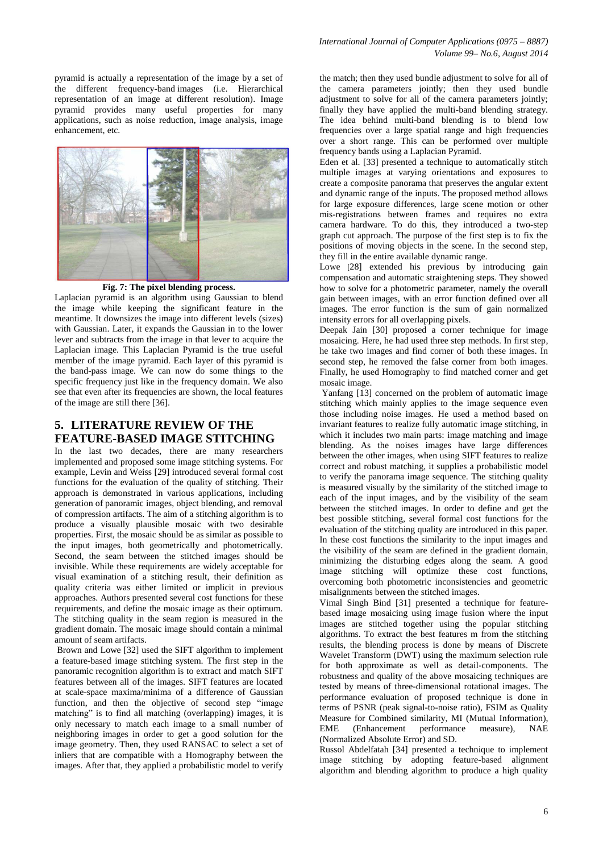pyramid is actually a representation of the image by a set of the different frequency-band images (i.e. Hierarchical representation of an image at different resolution). Image pyramid provides many useful properties for many applications, such as noise reduction, image analysis, image enhancement, etc.



**Fig. 7: The pixel blending process.**

Laplacian pyramid is an algorithm using Gaussian to blend the image while keeping the significant feature in the meantime. It downsizes the image into different levels (sizes) with Gaussian. Later, it expands the Gaussian in to the lower lever and subtracts from the image in that lever to acquire the Laplacian image. This Laplacian Pyramid is the true useful member of the image pyramid. Each layer of this pyramid is the band-pass image. We can now do some things to the specific frequency just like in the frequency domain. We also see that even after its frequencies are shown, the local features of the image are still there [36].

#### **5. LITERATURE REVIEW OF THE FEATURE-BASED IMAGE STITCHING**

In the last two decades, there are many researchers implemented and proposed some image stitching systems. For example, Levin and Weiss [29] introduced several formal cost functions for the evaluation of the quality of stitching. Their approach is demonstrated in various applications, including generation of panoramic images, object blending, and removal of compression artifacts. The aim of a stitching algorithm is to produce a visually plausible mosaic with two desirable properties. First, the mosaic should be as similar as possible to the input images, both geometrically and photometrically. Second, the seam between the stitched images should be invisible. While these requirements are widely acceptable for visual examination of a stitching result, their definition as quality criteria was either limited or implicit in previous approaches. Authors presented several cost functions for these requirements, and define the mosaic image as their optimum. The stitching quality in the seam region is measured in the gradient domain. The mosaic image should contain a minimal amount of seam artifacts.

Brown and Lowe [32] used the SIFT algorithm to implement a feature-based image stitching system. The first step in the panoramic recognition algorithm is to extract and match SIFT features between all of the images. SIFT features are located at scale-space maxima/minima of a difference of Gaussian function, and then the objective of second step "image" matching" is to find all matching (overlapping) images, it is only necessary to match each image to a small number of neighboring images in order to get a good solution for the image geometry. Then, they used RANSAC to select a set of inliers that are compatible with a Homography between the images. After that, they applied a probabilistic model to verify

the match; then they used bundle adjustment to solve for all of the camera parameters jointly; then they used bundle adjustment to solve for all of the camera parameters jointly; finally they have applied the multi-band blending strategy. The idea behind multi-band blending is to blend low frequencies over a large spatial range and high frequencies over a short range. This can be performed over multiple frequency bands using a Laplacian Pyramid.

Eden et al. [33] presented a technique to automatically stitch multiple images at varying orientations and exposures to create a composite panorama that preserves the angular extent and dynamic range of the inputs. The proposed method allows for large exposure differences, large scene motion or other mis-registrations between frames and requires no extra camera hardware. To do this, they introduced a two-step graph cut approach. The purpose of the first step is to fix the positions of moving objects in the scene. In the second step, they fill in the entire available dynamic range.

Lowe [28] extended his previous by introducing gain compensation and automatic straightening steps. They showed how to solve for a photometric parameter, namely the overall gain between images, with an error function defined over all images. The error function is the sum of gain normalized intensity errors for all overlapping pixels.

Deepak Jain [30] proposed a corner technique for image mosaicing. Here, he had used three step methods. In first step, he take two images and find corner of both these images. In second step, he removed the false corner from both images. Finally, he used Homography to find matched corner and get mosaic image.

Yanfang [13] concerned on the problem of automatic image stitching which mainly applies to the image sequence even those including noise images. He used a method based on invariant features to realize fully automatic image stitching, in which it includes two main parts: image matching and image blending. As the noises images have large differences between the other images, when using SIFT features to realize correct and robust matching, it supplies a probabilistic model to verify the panorama image sequence. The stitching quality is measured visually by the similarity of the stitched image to each of the input images, and by the visibility of the seam between the stitched images. In order to define and get the best possible stitching, several formal cost functions for the evaluation of the stitching quality are introduced in this paper. In these cost functions the similarity to the input images and the visibility of the seam are defined in the gradient domain, minimizing the disturbing edges along the seam. A good image stitching will optimize these cost functions, overcoming both photometric inconsistencies and geometric misalignments between the stitched images.

Vimal Singh Bind [31] presented a technique for featurebased image mosaicing using image fusion where the input images are stitched together using the popular stitching algorithms. To extract the best features m from the stitching results, the blending process is done by means of Discrete Wavelet Transform (DWT) using the maximum selection rule for both approximate as well as detail-components. The robustness and quality of the above mosaicing techniques are tested by means of three-dimensional rotational images. The performance evaluation of proposed technique is done in terms of PSNR (peak signal-to-noise ratio), FSIM as Quality Measure for Combined similarity, MI (Mutual Information), EME (Enhancement performance measure), NAE (Normalized Absolute Error) and SD.

Russol Abdelfatah [34] presented a technique to implement image stitching by adopting feature-based alignment algorithm and blending algorithm to produce a high quality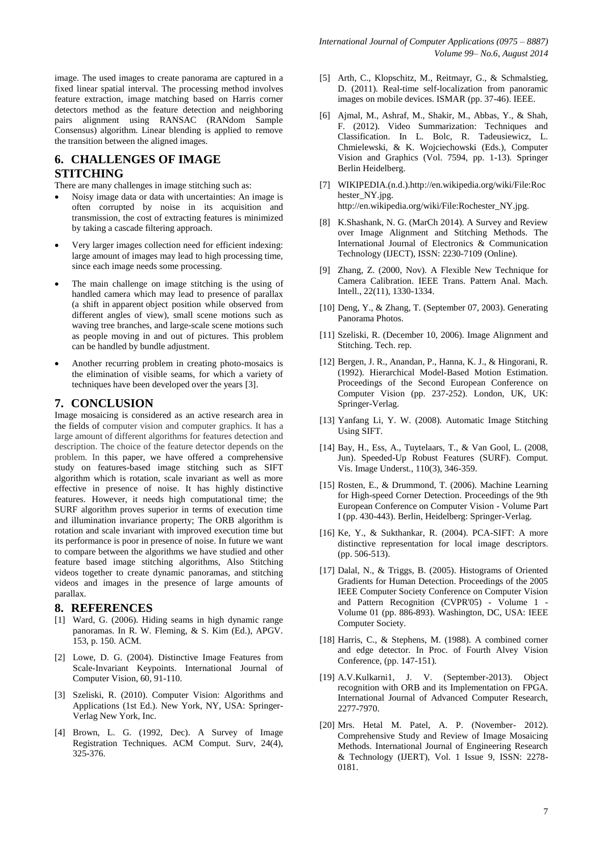image. The used images to create panorama are captured in a fixed linear spatial interval. The processing method involves feature extraction, image matching based on Harris corner detectors method as the feature detection and neighboring pairs alignment using RANSAC (RANdom Sample Consensus) algorithm. Linear blending is applied to remove the transition between the aligned images.

# **6. CHALLENGES OF IMAGE STITCHING**

There are many challenges in image stitching such as:

- Noisy image data or data with uncertainties: An image is often corrupted by noise in its acquisition and transmission, the cost of extracting features is minimized by taking a cascade filtering approach.
- Very larger images collection need for efficient indexing: large amount of images may lead to high processing time, since each image needs some processing.
- The main challenge on image stitching is the using of handled camera which may lead to presence of parallax (a shift in apparent object position while observed from different angles of view), small scene motions such as waving tree branches, and large-scale scene motions such as people moving in and out of pictures. This problem can be handled by bundle adjustment.
- Another recurring problem in creating photo-mosaics is the elimination of visible seams, for which a variety of techniques have been developed over the years [3].

#### **7. CONCLUSION**

Image mosaicing is considered as an active research area in the fields of computer vision and computer graphics. It has a large amount of different algorithms for features detection and description. The choice of the feature detector depends on the problem. In this paper, we have offered a comprehensive study on features-based image stitching such as SIFT algorithm which is rotation, scale invariant as well as more effective in presence of noise. It has highly distinctive features. However, it needs high computational time; the SURF algorithm proves superior in terms of execution time and illumination invariance property; The ORB algorithm is rotation and scale invariant with improved execution time but its performance is poor in presence of noise. In future we want to compare between the algorithms we have studied and other feature based image stitching algorithms, Also Stitching videos together to create dynamic panoramas, and stitching videos and images in the presence of large amounts of parallax.

#### **8. REFERENCES**

- [1] Ward, G. (2006). Hiding seams in high dynamic range panoramas. In R. W. Fleming, & S. Kim (Ed.), APGV. 153, p. 150. ACM.
- [2] Lowe, D. G. (2004). Distinctive Image Features from Scale-Invariant Keypoints. International Journal of Computer Vision, 60, 91-110.
- [3] Szeliski, R. (2010). Computer Vision: Algorithms and Applications (1st Ed.). New York, NY, USA: Springer-Verlag New York, Inc.
- [4] Brown, L. G. (1992, Dec). A Survey of Image Registration Techniques. ACM Comput. Surv, 24(4), 325-376.
- [5] Arth, C., Klopschitz, M., Reitmayr, G., & Schmalstieg, D. (2011). Real-time self-localization from panoramic images on mobile devices. ISMAR (pp. 37-46). IEEE.
- [6] Ajmal, M., Ashraf, M., Shakir, M., Abbas, Y., & Shah, F. (2012). Video Summarization: Techniques and Classification. In L. Bolc, R. Tadeusiewicz, L. Chmielewski, & K. Wojciechowski (Eds.), Computer Vision and Graphics (Vol. 7594, pp. 1-13). Springer Berlin Heidelberg.
- [7] WIKIPEDIA.(n.d.).http://en.wikipedia.org/wiki/File:Roc hester\_NY.jpg. [http://en.wikipedia.org/wiki/File:Rochester\\_NY.jpg.](http://en.wikipedia.org/wiki/File:Rochester_NY.jpg)
- [8] K.Shashank, N. G. (MarCh 2014). A Survey and Review over Image Alignment and Stitching Methods. The International Journal of Electronics & Communication Technology (IJECT), ISSN: 2230-7109 (Online).
- [9] Zhang, Z. (2000, Nov). A Flexible New Technique for Camera Calibration. IEEE Trans. Pattern Anal. Mach. Intell., 22(11), 1330-1334.
- [10] Deng, Y., & Zhang, T. (September 07, 2003). Generating Panorama Photos.
- [11] Szeliski, R. (December 10, 2006). Image Alignment and Stitching. Tech. rep.
- [12] Bergen, J. R., Anandan, P., Hanna, K. J., & Hingorani, R. (1992). Hierarchical Model-Based Motion Estimation. Proceedings of the Second European Conference on Computer Vision (pp. 237-252). London, UK, UK: Springer-Verlag.
- [13] Yanfang Li, Y. W. (2008). Automatic Image Stitching Using SIFT.
- [14] Bay, H., Ess, A., Tuytelaars, T., & Van Gool, L. (2008, Jun). Speeded-Up Robust Features (SURF). Comput. Vis. Image Underst., 110(3), 346-359.
- [15] Rosten, E., & Drummond, T. (2006). Machine Learning for High-speed Corner Detection. Proceedings of the 9th European Conference on Computer Vision - Volume Part I (pp. 430-443). Berlin, Heidelberg: Springer-Verlag.
- [16] Ke, Y., & Sukthankar, R. (2004). PCA-SIFT: A more distinctive representation for local image descriptors. (pp. 506-513).
- [17] Dalal, N., & Triggs, B. (2005). Histograms of Oriented Gradients for Human Detection. Proceedings of the 2005 IEEE Computer Society Conference on Computer Vision and Pattern Recognition (CVPR'05) - Volume 1 - Volume 01 (pp. 886-893). Washington, DC, USA: IEEE Computer Society.
- [18] Harris, C., & Stephens, M. (1988). A combined corner and edge detector. In Proc. of Fourth Alvey Vision Conference, (pp. 147-151).
- [19] A.V.Kulkarni1, J. V. (September-2013). Object recognition with ORB and its Implementation on FPGA. International Journal of Advanced Computer Research, 2277-7970.
- [20] Mrs. Hetal M. Patel, A. P. (November- 2012). Comprehensive Study and Review of Image Mosaicing Methods. International Journal of Engineering Research & Technology (IJERT), Vol. 1 Issue 9, ISSN: 2278- 0181.